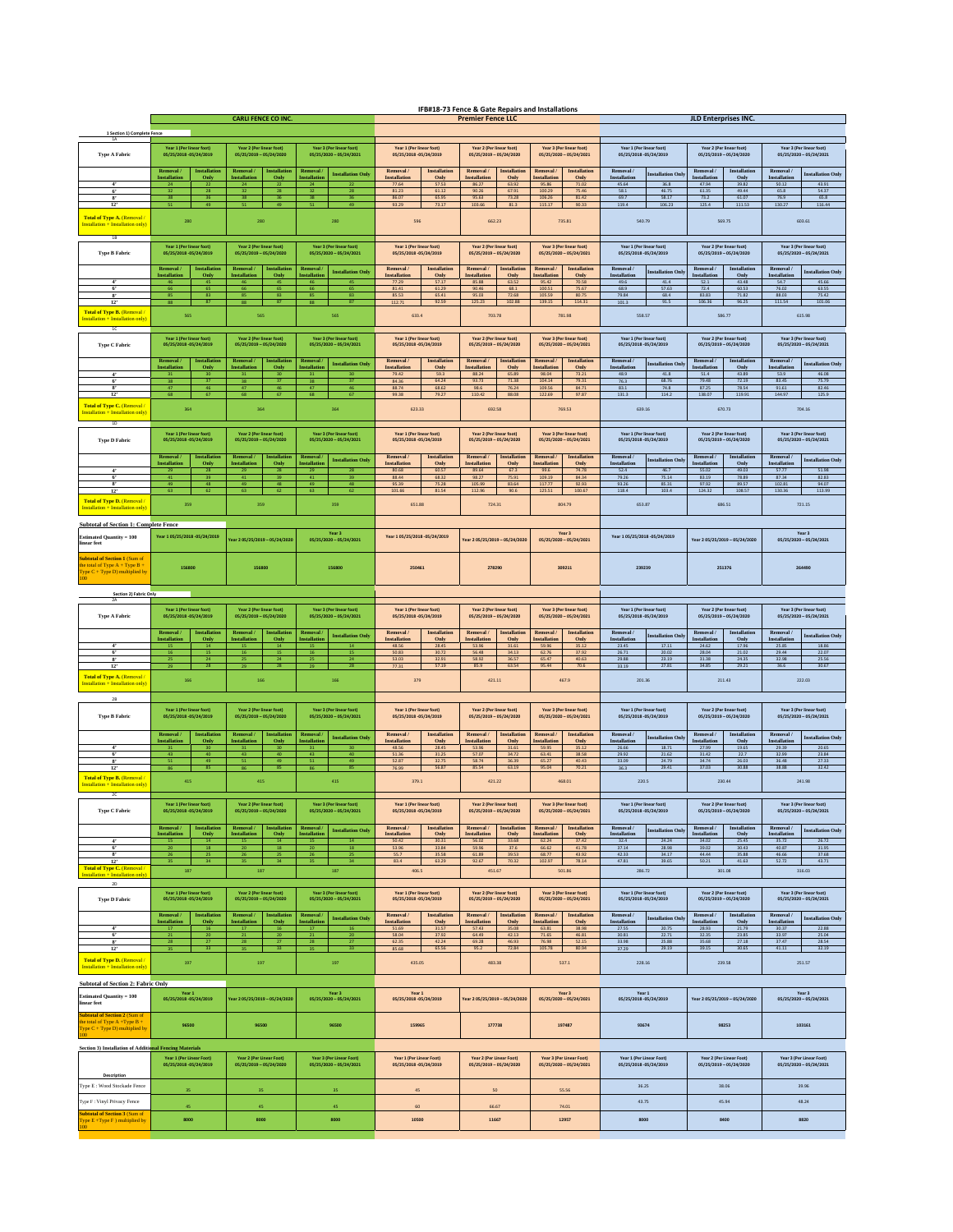|                                                                                    | <b>CARLI FENCE CO INC</b>                                                                               |                                                                                 |                                                                  |                                                      | IFB#18-73 Fence & Gate Repairs and Installations<br><b>Premier Fence LLC</b> |                                                     |                                      |                                                     |                                                     | <b>JLD Enterprises INC.</b>                        |                                 |                                                     |                                                     |                                                     |                                                     |
|------------------------------------------------------------------------------------|---------------------------------------------------------------------------------------------------------|---------------------------------------------------------------------------------|------------------------------------------------------------------|------------------------------------------------------|------------------------------------------------------------------------------|-----------------------------------------------------|--------------------------------------|-----------------------------------------------------|-----------------------------------------------------|----------------------------------------------------|---------------------------------|-----------------------------------------------------|-----------------------------------------------------|-----------------------------------------------------|-----------------------------------------------------|
|                                                                                    |                                                                                                         |                                                                                 |                                                                  |                                                      |                                                                              |                                                     |                                      |                                                     |                                                     |                                                    |                                 |                                                     |                                                     |                                                     |                                                     |
| 1 Section 1) Complete Fence<br>1A                                                  | Year 1 (Per linear foot)<br>Year 2 (Per linear foot)<br>Year 3 (Per linear foot)                        |                                                                                 |                                                                  | Year 1 (Per linear foot)<br>Year 2 (Per linear foot) |                                                                              |                                                     | Year 3 (Per linear foot)             |                                                     |                                                     |                                                    |                                 |                                                     |                                                     |                                                     |                                                     |
| <b>Type A Fabric</b>                                                               | 05/25/2018-05/24/2019                                                                                   | 05/25/2019 - 05/24/2020                                                         | 05/25/2020 - 05/24/2021                                          | 05/25/2018 -05/24/2019                               |                                                                              | 05/25/2019 - 05/24/2020                             |                                      | 05/25/2020 - 05/24/2021                             |                                                     | Year 1 (Per linear foot)<br>05/25/2018-05/24/2019  |                                 | Year 2 (Per linear foot)<br>05/25/2019 - 05/24/2020 |                                                     | Year 3 (Per linear foot)<br>05/25/2020 - 05/24/2021 |                                                     |
|                                                                                    | Removal<br><b>Installati</b><br><b>Installation</b><br>Only                                             | nstallati<br>Removal<br><b>Installation</b><br>Only                             | Removal<br><b>Installation Only</b><br><b>Installatio</b>        | Removal.<br><b>Installation</b>                      | Installatio<br>Only                                                          | Removal /<br><b>Installation</b>                    | <b>Installatio</b><br>Only           | Removal /<br><b>Installation</b>                    | <b>Installation</b><br>Only                         | Removal /<br>Installation                          | nstallation Onl                 | Removal /<br><b>Installation</b>                    | Installation<br>Only                                | Removal /<br><b>Installation</b>                    | <b>Installation Only</b>                            |
| 4'<br>6 <sup>7</sup>                                                               | 24<br>22<br>32<br>28                                                                                    | 24<br>22<br>28                                                                  | 24<br>32<br>28                                                   | 77.64<br>81.23                                       | 57.53<br>61.12                                                               | 86.27<br>90.26                                      | 63.92<br>67.91                       | 95.86<br>100.29                                     | 71.02<br>75.46                                      | 45.64<br>58.1                                      | 36.8<br>46.75                   | 47.94<br>61.35                                      | 39.82<br>49.44                                      | 50.12<br>65.8                                       | 43.91<br>54.37                                      |
| $\mathbf{S}^*$<br>12                                                               | 38<br>36                                                                                                | 38<br>36                                                                        | 38                                                               | 86.07<br>93.29                                       | 65.95<br>73.17                                                               | 95.63<br>103.66                                     | 73.28<br>81.3                        | 106.26<br>115.17                                    | 81.42<br>90.33                                      | 69.7<br>119.4                                      | 58.17<br>106.23                 | 73.2<br>125.4                                       | 61.07<br>111.53                                     | 76.9<br>130.27                                      | 65.8<br>116.44                                      |
| Total of Type A. (Removal)<br>istallation + Installation only)                     | 280                                                                                                     | 280                                                                             | 280                                                              | 596                                                  |                                                                              | 662.23                                              |                                      |                                                     | 735.81                                              | 540.79                                             |                                 |                                                     | 569.75                                              |                                                     | 603.61                                              |
| 1B                                                                                 |                                                                                                         |                                                                                 |                                                                  |                                                      |                                                                              |                                                     |                                      |                                                     |                                                     |                                                    |                                 |                                                     |                                                     |                                                     |                                                     |
| <b>Type B Fabric</b>                                                               | Year 1 (Per linear foot)<br>05/25/2018 -05/24/2019                                                      | Year 2 (Per linear foot)<br>05/25/2019 - 05/24/2020                             | Year 3 (Per linear foot)<br>05/25/2020 - 05/24/2021              | Year 1 (Per linear foot)<br>05/25/2018 -05/24/2019   |                                                                              | Year 2 (Per linear foot)<br>05/25/2019 - 05/24/2020 |                                      | Year 3 (Per linear foot)<br>05/25/2020 - 05/24/2021 |                                                     | Year 1 (Per linear foot)<br>05/25/2018-05/24/2019  |                                 | Year 2 (Per linear foot)<br>05/25/2019 - 05/24/2020 |                                                     | Year 3 (Per linear foot)<br>05/25/2020 - 05/24/2021 |                                                     |
|                                                                                    | Removal /<br><b>Installatie</b>                                                                         | <b>Installation</b><br>Removal:                                                 | <b>Removal</b><br><b>Installation Only</b>                       | Removal /                                            | Installation                                                                 | Removal /<br><b>Installatio</b>                     |                                      | Installation<br>Removal /                           |                                                     | Removal /<br><b>istallation</b> Onl                |                                 | Removal /<br>Installation                           |                                                     | Removal /<br>nstallation Onl                        |                                                     |
| 4'                                                                                 | <b>Installatio</b><br>Only                                                                              | <b>Installatio</b><br>Only                                                      | nstallatio                                                       | <b>Installation</b><br>77.29                         | Only<br>57.17                                                                | <b>Installation</b><br>85.88                        | Only<br>63.52                        | <b>Installation</b><br>95.42                        | Only<br>70.58                                       | Installation<br>49.6                               | 41.4                            | <b>Installation</b><br>52.1                         | Only<br>43.48                                       | <b>Installation</b><br>54.7                         | 45.66                                               |
| 6'<br>12                                                                           | 66<br>65<br>85<br>83<br>88<br>87                                                                        | 65<br>66<br>85<br>83<br>88<br>87                                                | 66<br>65<br>83<br>85<br>88<br>87                                 | 81.41<br>85.53<br>112.71                             | 61.29<br>65.41<br>92.59                                                      | 90.46<br>95.03<br>125.23                            | 68.1<br>72.68<br>102.88              | 100.51<br>105.59<br>139.15                          | 75.67<br>80.75<br>114.31                            | 68.9<br>79.84<br>101.3                             | 57.63<br>68.4<br>91.5           | 72.4<br>83.83<br>106.36                             | 60.53<br>71.82<br>96.25                             | 76.02<br>88.03<br>111.54                            | 63.55<br>75.42<br>101.06                            |
| Total of Type B. (Removal)                                                         | 565                                                                                                     | 565                                                                             | 565                                                              | 633.4                                                |                                                                              | 703.78                                              |                                      |                                                     | 781.98                                              | 558.57                                             |                                 |                                                     | 586.77                                              |                                                     | 615.98                                              |
| nstallation + Installation only<br>1C                                              |                                                                                                         |                                                                                 |                                                                  |                                                      |                                                                              |                                                     |                                      |                                                     |                                                     |                                                    |                                 |                                                     |                                                     |                                                     |                                                     |
| Type C Fabric                                                                      | Year 1 (Per linear foot)<br>05/25/2018 -05/24/2019                                                      | Year 2 (Per linear foot)<br>05/25/2019 - 05/24/2020                             | Year 3 (Per linear foot)<br>05/25/2020 - 05/24/2021              | Year 1 (Per linear foot)<br>05/25/2018 - 05/24/2019  |                                                                              | Year 2 (Per linear foot)<br>05/25/2019 - 05/24/2020 |                                      |                                                     | Year 3 (Per linear foot)<br>05/25/2020 - 05/24/2021 | Year 1 (Per linear foot)<br>05/25/2018-05/24/2019  |                                 |                                                     | Year 2 (Per linear foot)<br>05/25/2019 - 05/24/2020 |                                                     | Year 3 (Per linear foot)<br>05/25/2020 - 05/24/2021 |
|                                                                                    | Removal<br>Installation                                                                                 | <b>Installation</b><br><b>Removal</b>                                           | Removal                                                          | Removal /                                            | Installation                                                                 | Removal /                                           | <b>Installation</b>                  | Removal /                                           | Installation                                        | Removal /                                          |                                 | Removal /                                           | Installation                                        | Removal /                                           |                                                     |
| $\overline{4}$                                                                     | Installatio<br>Only                                                                                     | <b>Installati</b><br>Only                                                       | <b>Installation Only</b><br>nstallatio                           | <b>Installation</b><br>79.42                         | Only<br>59.3                                                                 | <b>Installation</b><br>88.24                        | Only<br>65.89                        | Installation<br>98.04                               | Only<br>73.21                                       | Installation<br>48.9                               | nstallation Onl<br>$41.8\,$     | Installation<br>$51.4\,$                            | Only<br>43.89                                       | Installation<br>53.9                                | <b>Installation Only</b><br>46.08                   |
| 6'<br>$\overline{\mathbf{x}}$                                                      | 38<br>37<br>47<br>46                                                                                    | 37<br>38<br>46<br>47                                                            | 38<br>$\overline{a}$<br>47<br>46                                 | 84.36<br>88.74                                       | 64.24<br>68.62                                                               | 93.73<br>98.6                                       | 71.38<br>76.24                       | 104.14<br>109.56                                    | 79.31<br>84.71                                      | 76.3<br>83.1                                       | 68.76<br>74.8                   | 79.48<br>87.25                                      | 72.19<br>78.54                                      | 83.45<br>91.61                                      | 75.79<br>82.46                                      |
| 12<br><b>Total of Type C. (Removal)</b>                                            | 68<br>67                                                                                                | 68<br>67                                                                        | 68<br>67                                                         | 99.38                                                | 79.27                                                                        | 110.42                                              | 88.08                                | 122.69                                              | 97.87                                               | 131.3                                              | 114.2                           | 138.07                                              | 119.91                                              | 144.97                                              | 125.9                                               |
| nstallation + Installation only)                                                   | 364                                                                                                     | 364                                                                             | 364                                                              | 623.33                                               |                                                                              | 692.58                                              |                                      |                                                     | 769.53                                              | 639.16                                             |                                 |                                                     | 670.73                                              |                                                     | 704.16                                              |
| 1D                                                                                 | Year 1 (Per linear foot)                                                                                | Year 2 (Per linear foot)<br>Year 3 (Per linear foot)<br>05/25/2019 - 05/24/2020 |                                                                  | Year 1 (Per linear foot)<br>05/25/2018 -05/24/2019   |                                                                              | Year 2 (Per linear foot)<br>05/25/2019 - 05/24/2020 |                                      | Year 3 (Per linear foot)                            |                                                     | Year 1 (Per linear foot)<br>05/25/2018 -05/24/2019 |                                 | Year 2 (Per linear foot)                            |                                                     | Year 3 (Per linear foot)                            |                                                     |
| <b>Type D Fabric</b>                                                               | 05/25/2018 05/24/2019                                                                                   |                                                                                 | 05/25/2020 - 05/24/2021                                          |                                                      |                                                                              |                                                     |                                      |                                                     | 05/25/2020 - 05/24/2021                             |                                                    |                                 |                                                     | 05/25/2019 - 05/24/2020                             |                                                     | 05/25/2020 - 05/24/2021                             |
|                                                                                    | Removal<br><b>Installatio</b><br>Installatio<br>Only                                                    | Removal<br><b>Installation</b><br><b>Installatio</b><br>Only                    | Removal.<br><b>Installation Only</b><br><b>nstallatio</b>        | Removal /<br><b>Installation</b>                     | Installation<br>Only                                                         | Removal /<br><b>Installation</b>                    | <b>Installation</b><br>Only          | Removal /<br><b>Installation</b>                    | <b>Installation</b><br>Only                         | Removal /<br>Installation                          | nstallation Onl                 | Removal /<br><b>Installation</b>                    | Installation<br>Only                                | Removal /<br>Installation                           | <b>Installation Onl</b>                             |
| 4 <sup>7</sup><br>6 <sup>7</sup>                                                   | 29<br>28<br>$41\,$<br>39                                                                                | 29<br>28<br>39<br>41                                                            | 29<br>28<br>41<br>39                                             | 80.68<br>88.44                                       | 60.57<br>68.32                                                               | 89.64<br>98.27                                      | 67.3<br>75.91                        | 99.6<br>109.19                                      | 74.78<br>84.34                                      | 52.4<br>79.26                                      | 46.7<br>75.14                   | 55.02<br>83.19                                      | 49.03<br>78.89                                      | 57.77<br>87.34                                      | 51.98<br>82.83                                      |
| $\bf{s}$<br>12                                                                     | 49<br>48<br>63<br>62                                                                                    | 48<br>49<br>62<br>63                                                            | 49<br>48<br>63<br>62                                             | 95.39<br>101.66                                      | 75.28<br>81.54                                                               | 105.99<br>112.96                                    | 83.64<br>90.6                        | 117.77<br>125.51                                    | 92.93<br>100.67                                     | 93.26<br>118.4                                     | 85.31<br>103.4                  | 97.92<br>124.32                                     | 89.57<br>108.57                                     | 102.81<br>130.36                                    | 94.07<br>113.99                                     |
| Total of Type D. (Removal)<br>stallation + Installation only                       | 359                                                                                                     | 359                                                                             | 359                                                              | 651.88                                               |                                                                              | 724.31                                              |                                      |                                                     | 804.79                                              | 653.87                                             |                                 |                                                     | 686.51                                              |                                                     | 721.15                                              |
| <b>Subtotal of Section 1: Complete Fence</b>                                       |                                                                                                         |                                                                                 |                                                                  |                                                      |                                                                              |                                                     |                                      |                                                     |                                                     |                                                    |                                 |                                                     |                                                     |                                                     |                                                     |
| Estimated Ouantity = 100<br>near feet                                              | Year 1.05/25/2018 - 05/24/2019                                                                          | Year 2 05/25/2019 - 05/24/202                                                   | Year 3<br>05/25/2020 - 05/24/2021                                | Year 105/25/2018-05/24/2019                          |                                                                              | rear 2 05/25/2019 - 05/24/2020                      |                                      |                                                     | Year 3<br>05/25/2020 - 05/24/2021                   | Year 1 05/25/2018 - 05/24/2019                     |                                 |                                                     | Year 2 05/25/2019 - 05/24/2020                      |                                                     | Year 3<br>05/25/2020 - 05/24/2021                   |
| ubtotal of Section 1 (Sum of                                                       |                                                                                                         |                                                                                 |                                                                  |                                                      |                                                                              |                                                     |                                      |                                                     |                                                     |                                                    |                                 |                                                     |                                                     |                                                     |                                                     |
| e total of Type A + Type B +<br>$\sqrt{\text{pe C} + \text{Type D}}$ multiplied by | 156800<br>156800                                                                                        |                                                                                 | 156800                                                           | 250461                                               |                                                                              | 278290                                              |                                      | 309211                                              |                                                     | 239239                                             |                                 | 251376                                              |                                                     | 264490                                              |                                                     |
|                                                                                    |                                                                                                         |                                                                                 |                                                                  |                                                      |                                                                              |                                                     |                                      |                                                     |                                                     |                                                    |                                 |                                                     |                                                     |                                                     |                                                     |
| Section 2) Fabric Only                                                             |                                                                                                         |                                                                                 |                                                                  |                                                      |                                                                              |                                                     |                                      |                                                     |                                                     |                                                    |                                 |                                                     |                                                     |                                                     |                                                     |
| <b>Type A Fabric</b>                                                               | Year 1 (Per linear foot)<br>05/25/2018 - 05/24/2019                                                     | Year 2 (Per linear foot)<br>05/25/2019 - 05/24/2020                             | (ear 3 (Per linear foot)<br>05/25/2020 - 05/24/2021              | Year 1 (Per linear foot)<br>05/25/2018 - 05/24/2019  |                                                                              | Year 2 (Per linear foot)<br>05/25/2019 - 05/24/2020 |                                      |                                                     | Year 3 (Per linear foot<br>05/25/2020 - 05/24/2021  | Year 1 (Per linear foot)<br>05/25/2018-05/24/2019  |                                 |                                                     | Year 2 (Per linear foot)<br>05/25/2019 - 05/24/2020 |                                                     | Year 3 (Per linear foot)<br>05/25/2020 - 05/24/2021 |
|                                                                                    | Removal<br><b>Installatio</b>                                                                           | Removal.<br><b>Installation</b>                                                 | <b>Removal</b><br><b>Installation Only</b>                       | Removal /                                            | <b>Installation</b>                                                          | Removal /                                           | <b>Installation</b>                  | Removal.                                            | <b>Installation</b>                                 | Removal /                                          | <b>istallation</b> Onl          | Removal /                                           | Installation                                        | Removal /                                           | nstallation Onl                                     |
| 4'                                                                                 | <b>Installation</b><br>Only<br>15<br>14                                                                 | <b>Installatio</b><br>Only<br>16                                                | <b>nstallatio</b>                                                | Installation<br>48.56                                | Only<br>28.45                                                                | Installation<br>53.96                               | Only<br>31.61                        | Installation<br>59.96                               | Only<br>35.12                                       | Installation<br>23.45                              | 17.11                           | Installation<br>24.62                               | Only<br>17.96                                       | Installation<br>25.85                               | 18.86                                               |
| 6 <sup>7</sup><br>$\mathbf{s}$<br>$\overline{12}$                                  | 16<br>15<br>25<br>24                                                                                    | 15<br>16<br>25<br>24                                                            | 16<br>15<br>25<br>24                                             | 50.83<br>53.03                                       | 30.72<br>32.91                                                               | 56.48<br>58.92                                      | 34.13<br>36.57                       | 62.76<br>65.47                                      | 37.92<br>40.63                                      | 26.71<br>29.88                                     | 20.02<br>23.19                  | 28.04<br>31.38                                      | 21.02<br>24.35                                      | 29.44<br>32.98                                      | 22.07<br>25.56                                      |
| Total of Type A. (Removal)                                                         | 29<br>28<br>166                                                                                         | 29<br>28<br>166                                                                 | 28<br>29<br>166                                                  | 77.31<br>379                                         | 57.19                                                                        | 85.9<br>421.11                                      | 63.54                                | 95.44                                               | 70.6<br>467.9                                       | 33.19<br>201.36                                    | 27.81                           | 34.85                                               | 29.21<br>211.43                                     | 36.6                                                | 30.67<br>222.03                                     |
| istallation + Installation only                                                    |                                                                                                         |                                                                                 |                                                                  |                                                      |                                                                              |                                                     |                                      |                                                     |                                                     |                                                    |                                 |                                                     |                                                     |                                                     |                                                     |
|                                                                                    | Year 1 (Per linear foot)                                                                                | Year 2 (Per linear foot)                                                        | Year 3 (Per linear foot)                                         | Year 1 (Per linear foot)                             |                                                                              | Year 2 (Per linear foot)                            |                                      |                                                     | Year 3 (Per linear foot)                            | Year 1 (Per linear foot)                           |                                 |                                                     | Year 2 (Per linear foot)                            |                                                     | Year 3 (Per linear foot)                            |
| <b>Type B Fabric</b>                                                               | 05/25/2018 -05/24/2019                                                                                  | 05/25/2019 - 05/24/2020                                                         | 05/25/2020 - 05/24/2021                                          | 05/25/2018 - 05/24/2019                              |                                                                              | 05/25/2019 - 05/24/2020                             |                                      |                                                     | 05/25/2020 - 05/24/2021                             | 05/25/2018-05/24/2019                              |                                 |                                                     | 05/25/2019 - 05/24/2020                             |                                                     | 05/25/2020 - 05/24/2021                             |
|                                                                                    | Removal<br>Installatio<br>Installati<br>Only                                                            | Removal<br>Installatio<br>Installati<br>Only                                    | Removal<br><b>Installation Only</b><br>nstallatio                | Removal<br>Installation                              | Installatio<br>Only                                                          | Removal /<br><b>Installation</b>                    | <b>Installation</b><br>Only          | Removal.<br>Installation                            | <b>Installatio</b><br>Only                          | Removal<br>Installation                            | nstallation Onl                 | Removal<br>Installation                             | Installatio<br>Only                                 | Removal /<br>Installation                           | <b>Installation Only</b>                            |
| $\overline{6}$                                                                     | $43\,$<br>40                                                                                            | 43<br>40                                                                        | 43<br>$\overline{a}$                                             | 48.56<br>51.36                                       | 28.45<br>31.25                                                               | 53.96<br>57.07                                      | 31.61<br>34.72                       | 59.93<br>63.41                                      | 35.12<br>38.58                                      | 26.66<br>29.92                                     | 18.71<br>21.62                  | 27.99<br>31.42                                      | 19.65<br>22.7                                       | 29.39<br>32.99                                      | 20.65<br>23.84                                      |
| $\overline{\mathbf{R}}$<br>12                                                      | 49<br>51<br>86<br>85                                                                                    | 49<br>S1<br>86<br>85                                                            | 51<br>49<br>86<br>85                                             | 52.87<br>76.99                                       | 32.75<br>56.87                                                               | 58.74<br>85.54                                      | 36.39<br>63.19                       | 65.27<br>95.04                                      | 40.43<br>70.21                                      | 33.09<br>36.3                                      | 24.79<br>29.41                  | 34.74<br>37.03                                      | 26.03<br>30.88                                      | 36.48<br>38.88                                      | 27.33<br>32.42                                      |
| <b>Total of Type B. (Removal)</b><br>istallation + Installation only               | 415                                                                                                     | 415                                                                             | 415                                                              | 379.1                                                |                                                                              | 421.22                                              |                                      |                                                     | 468.01                                              | 220.5                                              |                                 |                                                     | 230.44                                              |                                                     | 241.98                                              |
| 2C                                                                                 |                                                                                                         |                                                                                 |                                                                  |                                                      |                                                                              |                                                     |                                      |                                                     |                                                     |                                                    |                                 |                                                     |                                                     |                                                     |                                                     |
| ${\bf Type}$ C Fabric                                                              | 05/25/2018 05/24/2019                                                                                   | 05/25/2019 - 05/24/2020                                                         | 05/25/2020 - 05/24/2021                                          | 05/25/2018 05/24/2019                                |                                                                              | 05/25/2019 - 05/24/2020                             |                                      |                                                     | 05/25/2020 - 05/24/2021                             | 05/25/2018-05/24/2019                              |                                 |                                                     | 05/25/2019 - 05/24/2020                             |                                                     | 05/25/2020 - 05/24/2021                             |
|                                                                                    | Removal<br>Installatio<br>Installatio<br>Only                                                           | <b>Installation</b><br>Removal<br>Installati<br>Only                            | Removal<br><b>Installation Only</b><br>nstallatio                | Removal /<br><b>Installation</b>                     | Installatio<br>Only                                                          | Removal /<br><b>Installation</b>                    | <b>Installation</b><br>Only          | Removal.<br>Installation                            | Installation<br>Only                                | Removal /<br>Installation                          | nstallation Onl                 | Removal /<br>Installation                           | Installation<br>Only                                | Removal /<br>Installation                           | <b>Installation Only</b>                            |
| $\overline{4}$<br>6 <sup>2</sup>                                                   | 20<br>18                                                                                                | 20<br>$18\,$                                                                    | $14\,$<br>20<br>18                                               | 50.42<br>53.96                                       | 30.31<br>33.84                                                               | 56.02<br>59.96                                      | 33.68<br>37.6                        | 62.24<br>66.62                                      | 37.42<br>41.78                                      | 32.4<br>37.14                                      | 24.24<br>28.98                  | 34.02<br>39.02                                      | 25.45<br>30.43                                      | 35.72<br>40.87                                      | 26.72<br>31.95                                      |
| $\overline{\mathbf{R}}$<br>12                                                      | 26<br>25<br>34<br>35                                                                                    | 26<br>25<br>34<br>35                                                            | 26<br>25<br>35<br>34                                             | 55.7<br>83.4                                         | 35.58<br>63.29                                                               | 61.89<br>92.67                                      | 39.53<br>70.32                       | 68.77<br>102.97                                     | 43.92<br>78.14                                      | 42.33<br>47.81                                     | 34.17<br>39.65                  | 44.44<br>50.21                                      | 35.88<br>41.63                                      | 46.66<br>52.72                                      | 37.68<br>43.71                                      |
| Total of Type C. (Removal<br>tallation + Installation only                         | 187                                                                                                     | 187                                                                             | 187                                                              | 406.5                                                |                                                                              | 451.67                                              |                                      |                                                     | 501.86                                              | 286.72                                             |                                 |                                                     | 301.08                                              |                                                     | 316.03                                              |
| 2D                                                                                 | Year 1 (Per linear foot)                                                                                | Year 2 (Per linear foot)                                                        | Year 3 (Per linear foot)                                         | Year 1 (Per linear foot)                             |                                                                              | Year 2 (Per linear foot)                            |                                      |                                                     | Year 3 (Per linear foot)                            | Year 1 (Per linear foot)                           |                                 |                                                     | Year 2 (Per linear foot)                            |                                                     | Year 3 (Per linear foot)                            |
| <b>Type D Fabric</b>                                                               | 05/25/2018 -05/24/2019                                                                                  | 05/25/2019 - 05/24/2020                                                         | 05/25/2020 - 05/24/2021                                          | 05/25/2018 -05/24/2019                               |                                                                              | 05/25/2019 - 05/24/2020                             |                                      |                                                     | 05/25/2020 - 05/24/2021                             | 05/25/2018 -05/24/2019                             |                                 |                                                     | 05/25/2019 - 05/24/2020                             |                                                     | 05/25/2020 - 05/24/2021                             |
| $\mathbf{A}^{\prime}$                                                              | Removal /<br><b>Installatie</b><br><b>Installation</b><br>Only<br>$\overline{17}$                       | Removal /<br><b>Installation</b><br><b>Installatio</b><br>Only                  | Removal.<br><b>Installation Only</b><br><b>Installatio</b><br>16 | Removal /<br><b>Installation</b><br>51.69            | <b>Installation</b><br>Only<br>31.57                                         | Removal /<br><b>Installation</b><br>57.43           | <b>Installation</b><br>Only<br>35.08 | Removal /<br><b>Installation</b><br>63.81           | <b>Installation</b><br>Only<br>38.98                | Removal /<br>Installation<br>27.55                 | <b>istallation</b> Onl<br>20.75 | Removal /<br><b>Installation</b><br>28.93           | Installation<br>Only<br>21.79                       | Removal /<br>Installation<br>30.37                  | nstallation Only<br>22.88                           |
| 6 <sup>7</sup><br>8                                                                | 21<br>20<br>28<br>27                                                                                    | 16<br>21<br>20<br>28<br>27                                                      | 21<br>20<br>28<br>27                                             | 58.04<br>62.35                                       | 37.92<br>42.24                                                               | 64.49<br>69.28                                      | 42.13<br>46.93                       | 71.65<br>76.98                                      | 46.81<br>52.15                                      | 30.81<br>33.98                                     | 22.71<br>25.88                  | 32.35<br>35.68                                      | 23.85<br>27.18                                      | 33.97<br>37.47                                      | 25.04<br>28.54                                      |
| 12                                                                                 | 35<br>33                                                                                                | 35<br>33                                                                        | 35<br>33                                                         | 85.68                                                | 65.56                                                                        | 95.2                                                | 72.84                                | 105.78                                              | 80.94                                               | 37.29                                              | 29.19                           | 39.15                                               | 30.65                                               | $41.11\,$                                           | 32.19                                               |
| Total of Type D. (Removal)<br>nstallation + Installation only)                     | 197                                                                                                     | 197                                                                             | 197                                                              | 435.05                                               |                                                                              | 483.38                                              |                                      |                                                     | 537.1                                               | 228.16                                             |                                 |                                                     | 239.58                                              |                                                     | 251.57                                              |
| <b>Subtotal of Section 2: Fabric Only</b>                                          |                                                                                                         |                                                                                 |                                                                  |                                                      |                                                                              |                                                     |                                      |                                                     |                                                     |                                                    |                                 |                                                     |                                                     |                                                     |                                                     |
| <b>Estimated Ouantity = 100</b><br>linear feet                                     | Year 1<br>Year 3<br>05/25/2018 -05/24/2019<br>Year 2 05/25/2019 - 05/24/2020<br>05/25/2020 - 05/24/2021 |                                                                                 |                                                                  | Year 1<br>05/25/2018 -05/24/2019                     |                                                                              | Year 2 05/25/2019 – 05/24/2020                      |                                      | Year 3<br>05/25/2020 - 05/24/2021                   |                                                     | Year $\boldsymbol{1}$<br>05/25/2018-05/24/2019     |                                 | Year 2 05/25/2019 - 05/24/2020                      |                                                     | Year 3<br>05/25/2020 - 05/24/2021                   |                                                     |
| otal of Section 2 (S                                                               |                                                                                                         |                                                                                 |                                                                  |                                                      |                                                                              |                                                     |                                      |                                                     |                                                     |                                                    |                                 |                                                     |                                                     |                                                     |                                                     |
| the total of Type A +Type B +<br>Type C + Type D) multiplied by                    | 96500                                                                                                   | 96500                                                                           | 96500                                                            | 159965                                               |                                                                              | 177738                                              |                                      | 197487                                              |                                                     | 93674                                              |                                 | 98253                                               |                                                     | 103161                                              |                                                     |
| Section 3) Installation of Additional Fencing Materials                            |                                                                                                         |                                                                                 |                                                                  |                                                      |                                                                              |                                                     |                                      |                                                     |                                                     |                                                    |                                 |                                                     |                                                     |                                                     |                                                     |
|                                                                                    | Year 1 (Per Linear Foot)<br>05/25/2018 05/24/2019                                                       | Year 2 (Per Linear Foot)<br>05/25/2019 - 05/24/2020                             | Year 3 (Per Linear Foot)<br>05/25/2020 - 05/24/2021              | Year 1 (Per Linear Foot)<br>05/25/2018 -05/24/2019   |                                                                              | Year 2 (Per Linear Foot)                            |                                      | Year 3 (Per Linear Foot)                            |                                                     | Year 1 (Per Linear Foot)<br>05/25/2018 -05/24/2019 |                                 | Year 2 (Per Linear Foot)<br>05/25/2019 - 05/24/2020 |                                                     |                                                     | Year 3 (Per Linear Foot)                            |
| Description                                                                        |                                                                                                         |                                                                                 |                                                                  |                                                      |                                                                              | 05/25/2019 - 05/24/2020                             |                                      | 05/25/2020 - 05/24/2021                             |                                                     |                                                    |                                 |                                                     |                                                     | 05/25/2020 - 05/24/2021                             |                                                     |
| Type E: Wood Stockade Fence                                                        |                                                                                                         |                                                                                 |                                                                  | 45                                                   |                                                                              | 50                                                  |                                      | 55.56                                               |                                                     | 36.25                                              |                                 | 38.06                                               |                                                     | 39.96                                               |                                                     |
| Type F: Vinyl Privacy Fence                                                        |                                                                                                         |                                                                                 |                                                                  | 60                                                   |                                                                              | 66.67                                               |                                      |                                                     | 74.01                                               | 43.75                                              |                                 |                                                     | 45.94                                               | 48.24                                               |                                                     |
| (pe E +Type F ) multiplied by                                                      | 8000                                                                                                    | 8000                                                                            | 8000                                                             | 10500                                                |                                                                              | 11667<br>12957                                      |                                      |                                                     | 8000                                                |                                                    | 8400                            |                                                     | 8820                                                |                                                     |                                                     |
|                                                                                    |                                                                                                         |                                                                                 |                                                                  |                                                      |                                                                              |                                                     |                                      |                                                     |                                                     |                                                    |                                 |                                                     |                                                     |                                                     |                                                     |